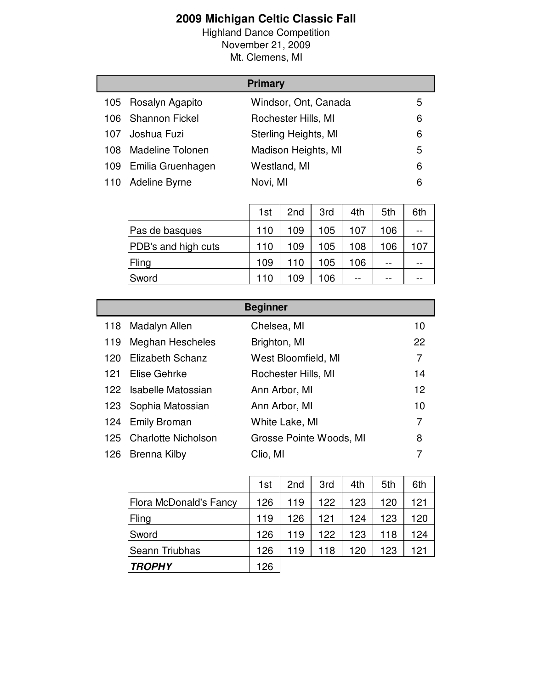## **2009 Michigan Celtic Classic Fall**

Highland Dance Competition November 21, 2009 Mt. Clemens, MI

|      |                         | <b>Primary</b>       |   |
|------|-------------------------|----------------------|---|
|      | 105 Rosalyn Agapito     | Windsor, Ont, Canada | 5 |
|      | 106 Shannon Fickel      | Rochester Hills, MI  | 6 |
| 107. | Joshua Fuzi             | Sterling Heights, MI | 6 |
| 108. | <b>Madeline Tolonen</b> | Madison Heights, MI  | 5 |
| 109. | Emilia Gruenhagen       | Westland, MI         | 6 |
| 110  | Adeline Byrne           | Novi, MI             | 6 |

|                            | 1st | 2 <sub>nd</sub> | 3rd | 4th   | 5th | 6th |
|----------------------------|-----|-----------------|-----|-------|-----|-----|
| Pas de basques             | 110 | 109             | 105 | 107   | 106 |     |
| <b>PDB's and high cuts</b> | 110 | 109             | 105 | 108   | 106 | 107 |
| Fling                      | 109 | 110             | 105 | 106   | --  |     |
| Sword                      | 110 | 109             | 106 | $- -$ | --  |     |

|     | <b>Beginner</b>         |                         |                |  |  |
|-----|-------------------------|-------------------------|----------------|--|--|
| 118 | Madalyn Allen           | Chelsea, MI             | 10             |  |  |
| 119 | Meghan Hescheles        | Brighton, MI            | 22             |  |  |
| 120 | <b>Elizabeth Schanz</b> | West Bloomfield, MI     | $\overline{7}$ |  |  |
| 121 | Elise Gehrke            | Rochester Hills, MI     | 14             |  |  |
|     | 122 Isabelle Matossian  | Ann Arbor, MI           | 12             |  |  |
|     | 123 Sophia Matossian    | Ann Arbor, MI           | 10             |  |  |
| 124 | <b>Emily Broman</b>     | White Lake, MI          | 7              |  |  |
|     | 125 Charlotte Nicholson | Grosse Pointe Woods, MI | 8              |  |  |
| 126 | Brenna Kilby            | Clio, MI                | 7              |  |  |

|                               | 1st | 2 <sub>nd</sub> | 3rd | 4th | 5th | 6th |
|-------------------------------|-----|-----------------|-----|-----|-----|-----|
| <b>Flora McDonald's Fancy</b> | 126 | 119             | 122 | 123 | 120 | 121 |
| Fling                         | 119 | 126             | 121 | 124 | 123 | 120 |
| Sword                         | 126 | 119             | 122 | 123 | 118 | 124 |
| Seann Triubhas                | 126 | 119             | 118 | 120 | 123 | 121 |
| <b>TROPHY</b>                 | 126 |                 |     |     |     |     |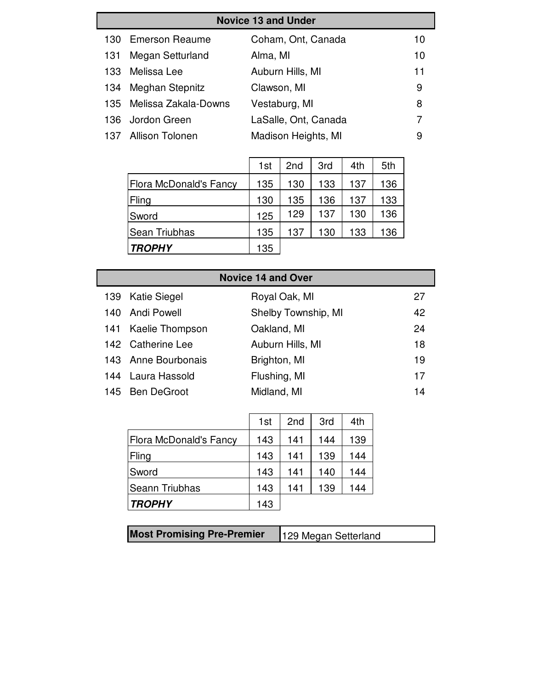|      | <b>Novice 13 and Under</b> |                      |    |  |  |
|------|----------------------------|----------------------|----|--|--|
|      | 130 Emerson Reaume         | Coham, Ont, Canada   | 10 |  |  |
| 131  | Megan Setturland           | Alma, MI             | 10 |  |  |
| 133. | Melissa Lee                | Auburn Hills, MI     | 11 |  |  |
|      | 134 Meghan Stepnitz        | Clawson, MI          | 9  |  |  |
|      | 135 Melissa Zakala-Downs   | Vestaburg, MI        | 8  |  |  |
|      | 136 Jordon Green           | LaSalle, Ont, Canada |    |  |  |
|      | 137 Allison Tolonen        | Madison Heights, MI  | 9  |  |  |

|                        | 1st | 2 <sub>nd</sub> | 3rd | 4th | 5th |
|------------------------|-----|-----------------|-----|-----|-----|
| Flora McDonald's Fancy | 135 | 130             | 133 | 137 | 136 |
| Fling                  | 130 | 135             | 136 | 137 | 133 |
| Sword                  | 125 | 129             | 137 | 130 | 136 |
| Sean Triubhas          | 135 | 137             | 130 | 133 | 136 |
| <b>TROPHY</b>          | 135 |                 |     |     |     |

| <b>Novice 14 and Over</b> |                     |    |  |  |
|---------------------------|---------------------|----|--|--|
| 139 Katie Siegel          | Royal Oak, MI       | 27 |  |  |
| 140 Andi Powell           | Shelby Township, MI | 42 |  |  |
| 141 Kaelie Thompson       | Oakland, MI         | 24 |  |  |
| 142 Catherine Lee         | Auburn Hills, MI    | 18 |  |  |
| 143 Anne Bourbonais       | Brighton, MI        | 19 |  |  |
| 144 Laura Hassold         | Flushing, MI        | 17 |  |  |
| 145 Ben DeGroot           | Midland, MI         | 14 |  |  |

|                               | 1st | 2 <sub>nd</sub> | 3rd | 4th |
|-------------------------------|-----|-----------------|-----|-----|
| <b>Flora McDonald's Fancy</b> | 143 | 141             | 144 | 139 |
| Fling                         | 143 | 141             | 139 | 144 |
| Sword                         | 143 | 141             | 140 | 144 |
| Seann Triubhas                | 143 | 141             | 139 | 144 |
| <b>TROPHY</b>                 | 143 |                 |     |     |

| <b>Most Promising Pre-Premier</b> | 129 Megan Setterland |
|-----------------------------------|----------------------|
|                                   |                      |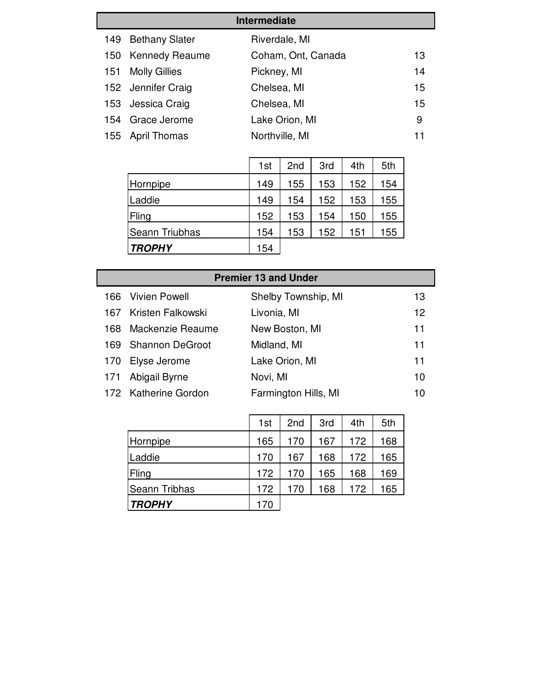|     | <b>Intermediate</b>   |                    |    |  |  |
|-----|-----------------------|--------------------|----|--|--|
| 149 | <b>Bethany Slater</b> | Riverdale, MI      |    |  |  |
|     | 150 Kennedy Reaume    | Coham, Ont, Canada | 13 |  |  |
| 151 | <b>Molly Gillies</b>  | Pickney, MI        | 14 |  |  |
|     | 152 Jennifer Craig    | Chelsea, MI        | 15 |  |  |
|     | 153 Jessica Craig     | Chelsea, MI        | 15 |  |  |
|     | 154 Grace Jerome      | Lake Orion, MI     | 9  |  |  |
|     | 155 April Thomas      | Northville, MI     |    |  |  |

|                | 1st | 2 <sub>nd</sub> | 3rd | 4th | 5th |
|----------------|-----|-----------------|-----|-----|-----|
| Hornpipe       | 149 | 155             | 153 | 152 | 154 |
| Laddie         | 149 | 154             | 152 | 153 | 155 |
| Fling          | 152 | 153             | 154 | 150 | 155 |
| Seann Triubhas | 154 | 153             | 152 | 151 | 155 |
| <b>TROPHY</b>  | 154 |                 |     |     |     |

|      | <b>Premier 13 and Under</b> |                      |    |  |  |
|------|-----------------------------|----------------------|----|--|--|
| 166. | Vivien Powell               | Shelby Township, MI  | 13 |  |  |
|      | 167 Kristen Falkowski       | Livonia, MI          | 12 |  |  |
| 168. | Mackenzie Reaume            | New Boston, MI       | 11 |  |  |
| 169. | <b>Shannon DeGroot</b>      | Midland, MI          | 11 |  |  |
| 170  | Elyse Jerome                | Lake Orion, MI       | 11 |  |  |
| 171  | Abigail Byrne               | Novi, MI             | 10 |  |  |
|      | 172 Katherine Gordon        | Farmington Hills, MI | 10 |  |  |

|               | 1st | 2 <sub>nd</sub> | 3rd | 4th | 5th |
|---------------|-----|-----------------|-----|-----|-----|
| Hornpipe      | 165 | 170             | 167 | 172 | 168 |
| Laddie        | 170 | 167             | 168 | 172 | 165 |
| Fling         | 172 | 170             | 165 | 168 | 169 |
| Seann Tribhas | 172 | 170             | 168 | 172 | 165 |
| <b>TROPHY</b> | 170 |                 |     |     |     |